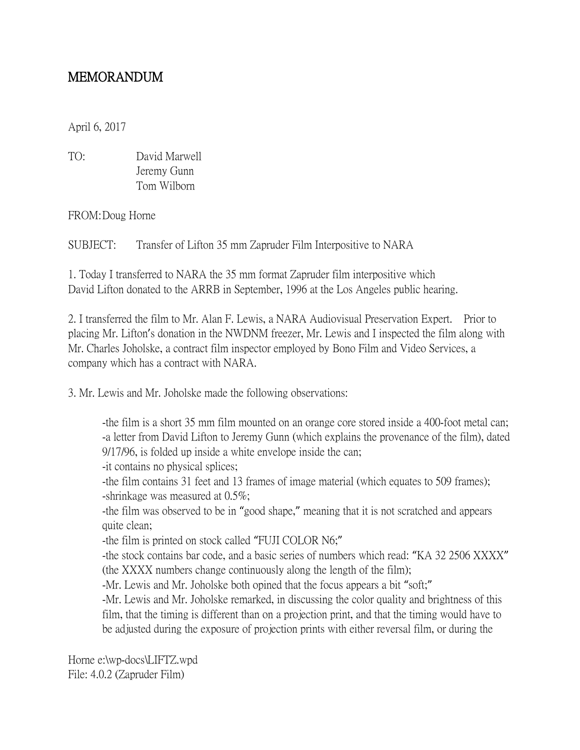## MEMORANDUM

April 6, 2017

| TO: | David Marwell |
|-----|---------------|
|     | Jeremy Gunn   |
|     | Tom Wilborn   |

FROM:Doug Horne

SUBJECT: Transfer of Lifton 35 mm Zapruder Film Interpositive to NARA

1. Today I transferred to NARA the 35 mm format Zapruder film interpositive which David Lifton donated to the ARRB in September, 1996 at the Los Angeles public hearing.

2. I transferred the film to Mr. Alan F. Lewis, a NARA Audiovisual Preservation Expert. Prior to placing Mr. Lifton's donation in the NWDNM freezer, Mr. Lewis and I inspected the film along with Mr. Charles Joholske, a contract film inspector employed by Bono Film and Video Services, a company which has a contract with NARA.

3. Mr. Lewis and Mr. Joholske made the following observations:

-the film is a short 35 mm film mounted on an orange core stored inside a 400-foot metal can; -a letter from David Lifton to Jeremy Gunn (which explains the provenance of the film), dated 9/17/96, is folded up inside a white envelope inside the can;

-it contains no physical splices;

-the film contains 31 feet and 13 frames of image material (which equates to 509 frames); -shrinkage was measured at 0.5%;

-the film was observed to be in "good shape," meaning that it is not scratched and appears quite clean;

-the film is printed on stock called "FUJI COLOR N6;"

-the stock contains bar code, and a basic series of numbers which read: "KA 32 2506 XXXX" (the XXXX numbers change continuously along the length of the film);

-Mr. Lewis and Mr. Joholske both opined that the focus appears a bit "soft;"

-Mr. Lewis and Mr. Joholske remarked, in discussing the color quality and brightness of this film, that the timing is different than on a projection print, and that the timing would have to be adjusted during the exposure of projection prints with either reversal film, or during the

Horne e:\wp-docs\LIFTZ.wpd File: 4.0.2 (Zapruder Film)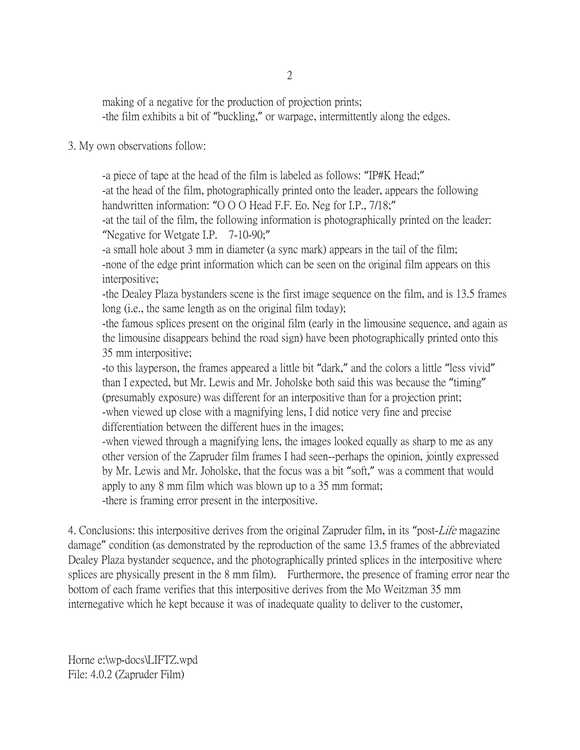making of a negative for the production of projection prints; -the film exhibits a bit of "buckling," or warpage, intermittently along the edges.

## 3. My own observations follow:

-a piece of tape at the head of the film is labeled as follows: "IP#K Head;"

-at the head of the film, photographically printed onto the leader, appears the following handwritten information: "O O O Head F.F. Eo. Neg for I.P., 7/18;"

-at the tail of the film, the following information is photographically printed on the leader: "Negative for Wetgate I.P. 7-10-90;"

-a small hole about 3 mm in diameter (a sync mark) appears in the tail of the film; -none of the edge print information which can be seen on the original film appears on this interpositive;

-the Dealey Plaza bystanders scene is the first image sequence on the film, and is 13.5 frames long (i.e., the same length as on the original film today);

-the famous splices present on the original film (early in the limousine sequence, and again as the limousine disappears behind the road sign) have been photographically printed onto this 35 mm interpositive;

-to this layperson, the frames appeared a little bit "dark," and the colors a little "less vivid" than I expected, but Mr. Lewis and Mr. Joholske both said this was because the "timing" (presumably exposure) was different for an interpositive than for a projection print; -when viewed up close with a magnifying lens, I did notice very fine and precise differentiation between the different hues in the images;

-when viewed through a magnifying lens, the images looked equally as sharp to me as any other version of the Zapruder film frames I had seen--perhaps the opinion, jointly expressed by Mr. Lewis and Mr. Joholske, that the focus was a bit "soft," was a comment that would apply to any 8 mm film which was blown up to a 35 mm format;

-there is framing error present in the interpositive.

4. Conclusions: this interpositive derives from the original Zapruder film, in its "post-Life magazine damage" condition (as demonstrated by the reproduction of the same 13.5 frames of the abbreviated Dealey Plaza bystander sequence, and the photographically printed splices in the interpositive where splices are physically present in the 8 mm film). Furthermore, the presence of framing error near the bottom of each frame verifies that this interpositive derives from the Mo Weitzman 35 mm internegative which he kept because it was of inadequate quality to deliver to the customer,

Horne e:\wp-docs\LIFTZ.wpd File: 4.0.2 (Zapruder Film)